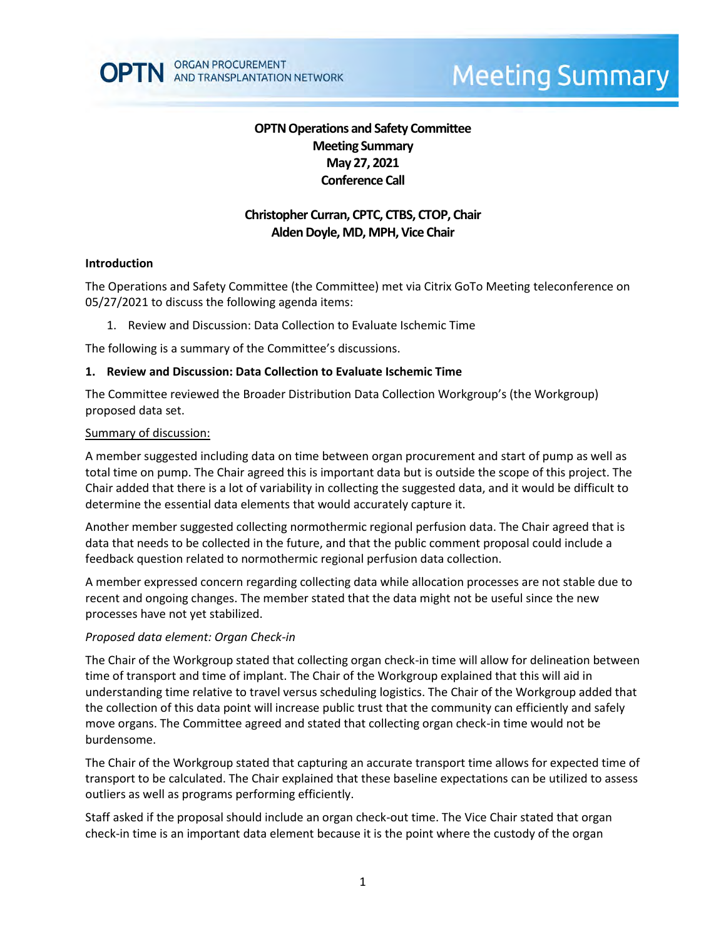# **OPTN Operations and Safety Committee Meeting Summary May 27, 2021 Conference Call**

# **Christopher Curran, CPTC, CTBS, CTOP, Chair Alden Doyle, MD, MPH, Vice Chair**

## **Introduction**

The Operations and Safety Committee (the Committee) met via Citrix GoTo Meeting teleconference on 05/27/2021 to discuss the following agenda items:

1. Review and Discussion: Data Collection to Evaluate Ischemic Time

The following is a summary of the Committee's discussions.

### **1. Review and Discussion: Data Collection to Evaluate Ischemic Time**

The Committee reviewed the Broader Distribution Data Collection Workgroup's (the Workgroup) proposed data set.

#### Summary of discussion:

A member suggested including data on time between organ procurement and start of pump as well as total time on pump. The Chair agreed this is important data but is outside the scope of this project. The Chair added that there is a lot of variability in collecting the suggested data, and it would be difficult to determine the essential data elements that would accurately capture it.

Another member suggested collecting normothermic regional perfusion data. The Chair agreed that is data that needs to be collected in the future, and that the public comment proposal could include a feedback question related to normothermic regional perfusion data collection.

A member expressed concern regarding collecting data while allocation processes are not stable due to recent and ongoing changes. The member stated that the data might not be useful since the new processes have not yet stabilized.

## *Proposed data element: Organ Check-in*

The Chair of the Workgroup stated that collecting organ check-in time will allow for delineation between time of transport and time of implant. The Chair of the Workgroup explained that this will aid in understanding time relative to travel versus scheduling logistics. The Chair of the Workgroup added that the collection of this data point will increase public trust that the community can efficiently and safely move organs. The Committee agreed and stated that collecting organ check-in time would not be burdensome.

The Chair of the Workgroup stated that capturing an accurate transport time allows for expected time of transport to be calculated. The Chair explained that these baseline expectations can be utilized to assess outliers as well as programs performing efficiently.

Staff asked if the proposal should include an organ check-out time. The Vice Chair stated that organ check-in time is an important data element because it is the point where the custody of the organ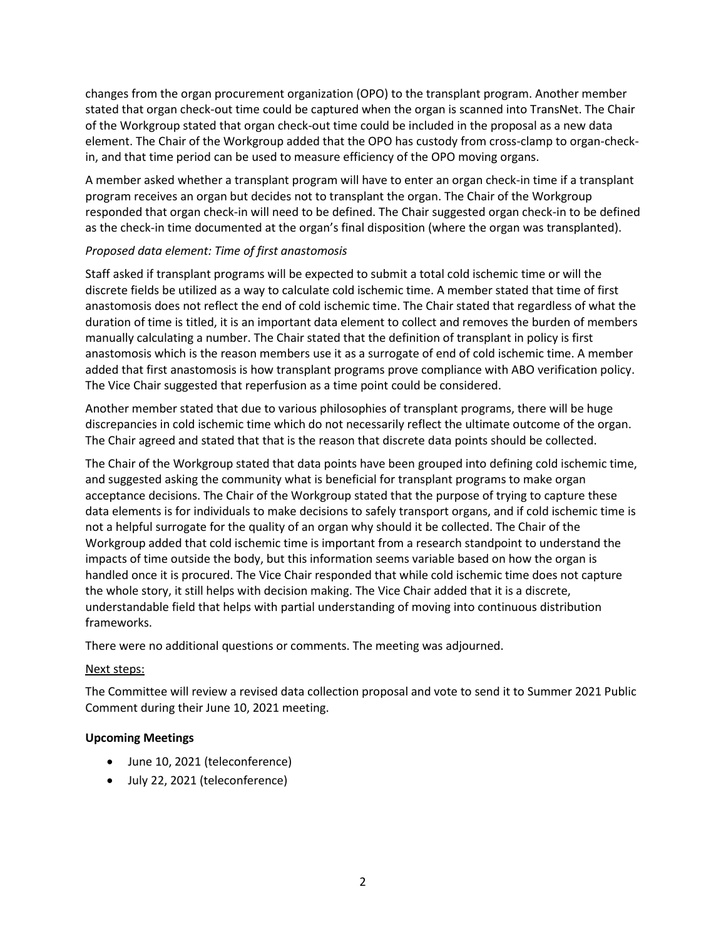changes from the organ procurement organization (OPO) to the transplant program. Another member stated that organ check-out time could be captured when the organ is scanned into TransNet. The Chair of the Workgroup stated that organ check-out time could be included in the proposal as a new data element. The Chair of the Workgroup added that the OPO has custody from cross-clamp to organ-checkin, and that time period can be used to measure efficiency of the OPO moving organs.

A member asked whether a transplant program will have to enter an organ check-in time if a transplant program receives an organ but decides not to transplant the organ. The Chair of the Workgroup responded that organ check-in will need to be defined. The Chair suggested organ check-in to be defined as the check-in time documented at the organ's final disposition (where the organ was transplanted).

# *Proposed data element: Time of first anastomosis*

Staff asked if transplant programs will be expected to submit a total cold ischemic time or will the discrete fields be utilized as a way to calculate cold ischemic time. A member stated that time of first anastomosis does not reflect the end of cold ischemic time. The Chair stated that regardless of what the duration of time is titled, it is an important data element to collect and removes the burden of members manually calculating a number. The Chair stated that the definition of transplant in policy is first anastomosis which is the reason members use it as a surrogate of end of cold ischemic time. A member added that first anastomosis is how transplant programs prove compliance with ABO verification policy. The Vice Chair suggested that reperfusion as a time point could be considered.

Another member stated that due to various philosophies of transplant programs, there will be huge discrepancies in cold ischemic time which do not necessarily reflect the ultimate outcome of the organ. The Chair agreed and stated that that is the reason that discrete data points should be collected.

The Chair of the Workgroup stated that data points have been grouped into defining cold ischemic time, and suggested asking the community what is beneficial for transplant programs to make organ acceptance decisions. The Chair of the Workgroup stated that the purpose of trying to capture these data elements is for individuals to make decisions to safely transport organs, and if cold ischemic time is not a helpful surrogate for the quality of an organ why should it be collected. The Chair of the Workgroup added that cold ischemic time is important from a research standpoint to understand the impacts of time outside the body, but this information seems variable based on how the organ is handled once it is procured. The Vice Chair responded that while cold ischemic time does not capture the whole story, it still helps with decision making. The Vice Chair added that it is a discrete, understandable field that helps with partial understanding of moving into continuous distribution frameworks.

There were no additional questions or comments. The meeting was adjourned.

## Next steps:

The Committee will review a revised data collection proposal and vote to send it to Summer 2021 Public Comment during their June 10, 2021 meeting.

## **Upcoming Meetings**

- June 10, 2021 (teleconference)
- July 22, 2021 (teleconference)